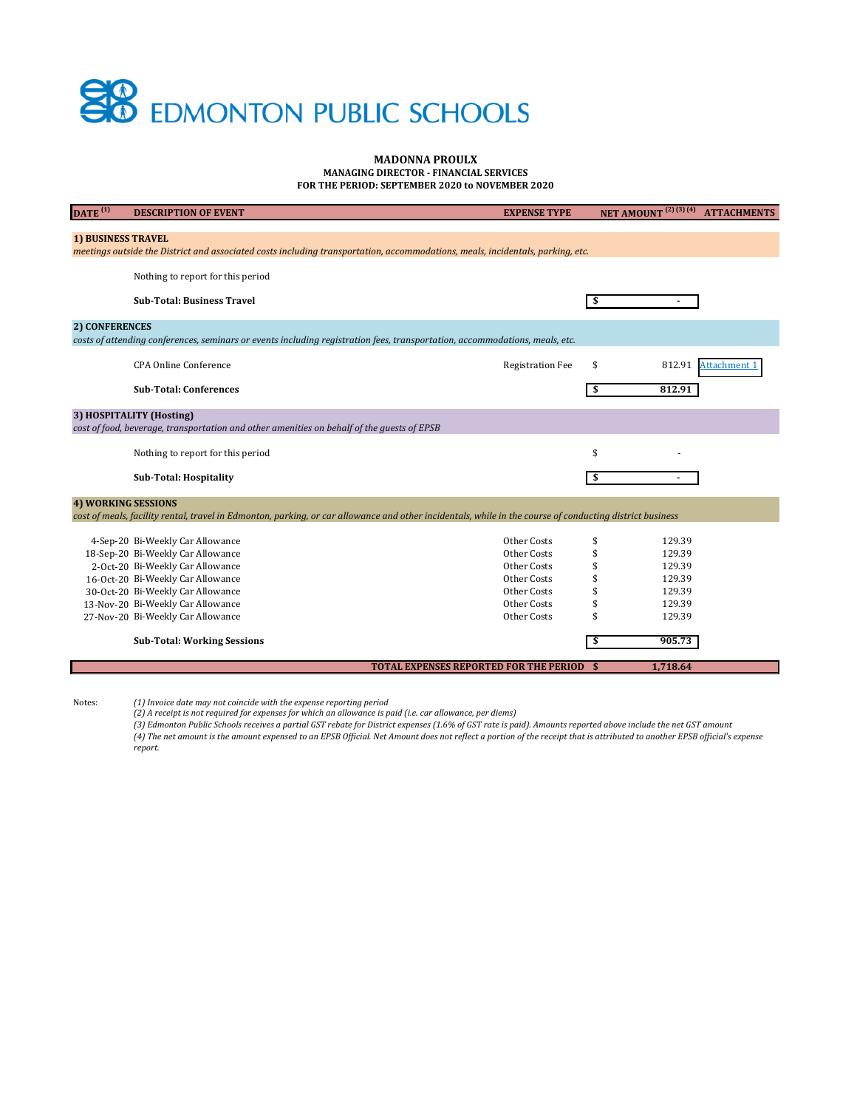## **SP** EDMONTON PUBLIC SCHOOLS

## **MADONNA PROULX**

**MANAGING DIRECTOR - FINANCIAL SERVICES**

**FOR THE PERIOD: SEPTEMBER 2020 to NOVEMBER 2020**

| $\overline{DATE}^{(1)}$                                                                                                                                     | <b>DESCRIPTION OF EVENT</b>                                                                                                                              | <b>EXPENSE TYPE</b>                              |    | NET AMOUNT <sup>(2)(3)(4)</sup> ATTACHMENTS |  |  |  |
|-------------------------------------------------------------------------------------------------------------------------------------------------------------|----------------------------------------------------------------------------------------------------------------------------------------------------------|--------------------------------------------------|----|---------------------------------------------|--|--|--|
| <b>1) BUSINESS TRAVEL</b><br>meetings outside the District and associated costs including transportation, accommodations, meals, incidentals, parking, etc. |                                                                                                                                                          |                                                  |    |                                             |  |  |  |
|                                                                                                                                                             | Nothing to report for this period                                                                                                                        |                                                  |    |                                             |  |  |  |
|                                                                                                                                                             | <b>Sub-Total: Business Travel</b>                                                                                                                        |                                                  |    |                                             |  |  |  |
| 2) CONFERENCES                                                                                                                                              |                                                                                                                                                          |                                                  |    |                                             |  |  |  |
|                                                                                                                                                             | costs of attending conferences, seminars or events including registration fees, transportation, accommodations, meals, etc.                              |                                                  |    |                                             |  |  |  |
|                                                                                                                                                             | <b>CPA Online Conference</b>                                                                                                                             | <b>Registration Fee</b>                          | \$ | 812.91 Attachment 1                         |  |  |  |
|                                                                                                                                                             | <b>Sub-Total: Conferences</b>                                                                                                                            |                                                  | \$ | 812.91                                      |  |  |  |
|                                                                                                                                                             | 3) HOSPITALITY (Hosting)<br>cost of food, beverage, transportation and other amenities on behalf of the guests of EPSB                                   |                                                  |    |                                             |  |  |  |
|                                                                                                                                                             | Nothing to report for this period                                                                                                                        |                                                  | \$ |                                             |  |  |  |
|                                                                                                                                                             | <b>Sub-Total: Hospitality</b>                                                                                                                            |                                                  | \$ |                                             |  |  |  |
|                                                                                                                                                             | <b>4) WORKING SESSIONS</b>                                                                                                                               |                                                  |    |                                             |  |  |  |
|                                                                                                                                                             | cost of meals, facility rental, travel in Edmonton, parking, or car allowance and other incidentals, while in the course of conducting district business |                                                  |    |                                             |  |  |  |
|                                                                                                                                                             | 4-Sep-20 Bi-Weekly Car Allowance                                                                                                                         | Other Costs                                      | \$ | 129.39                                      |  |  |  |
|                                                                                                                                                             | 18-Sep-20 Bi-Weekly Car Allowance                                                                                                                        | Other Costs                                      | \$ | 129.39                                      |  |  |  |
|                                                                                                                                                             | 2-Oct-20 Bi-Weekly Car Allowance                                                                                                                         | Other Costs                                      | \$ | 129.39                                      |  |  |  |
|                                                                                                                                                             | 16-Oct-20 Bi-Weekly Car Allowance                                                                                                                        | Other Costs                                      | \$ | 129.39                                      |  |  |  |
|                                                                                                                                                             | 30-Oct-20 Bi-Weekly Car Allowance                                                                                                                        | Other Costs                                      | \$ | 129.39                                      |  |  |  |
|                                                                                                                                                             | 13-Nov-20 Bi-Weekly Car Allowance                                                                                                                        | Other Costs                                      | \$ | 129.39                                      |  |  |  |
|                                                                                                                                                             | 27-Nov-20 Bi-Weekly Car Allowance                                                                                                                        | Other Costs                                      | \$ | 129.39                                      |  |  |  |
|                                                                                                                                                             | <b>Sub-Total: Working Sessions</b>                                                                                                                       |                                                  | \$ | 905.73                                      |  |  |  |
|                                                                                                                                                             |                                                                                                                                                          | <b>TOTAL EXPENSES REPORTED FOR THE PERIOD \$</b> |    | 1,718.64                                    |  |  |  |

Notes: *(1) Invoice date may not coincide with the expense reporting period*

*(2) A receipt is not required for expenses for which an allowance is paid (i.e. car allowance, per diems)*

*(3) Edmonton Public Schools receives a partial GST rebate for District expenses (1.6% of GST rate is paid). Amounts reported above include the net GST amount (4) The net amount is the amount expensed to an EPSB Official. Net Amount does not reflect a portion of the receipt that is attributed to another EPSB official's expense report.*